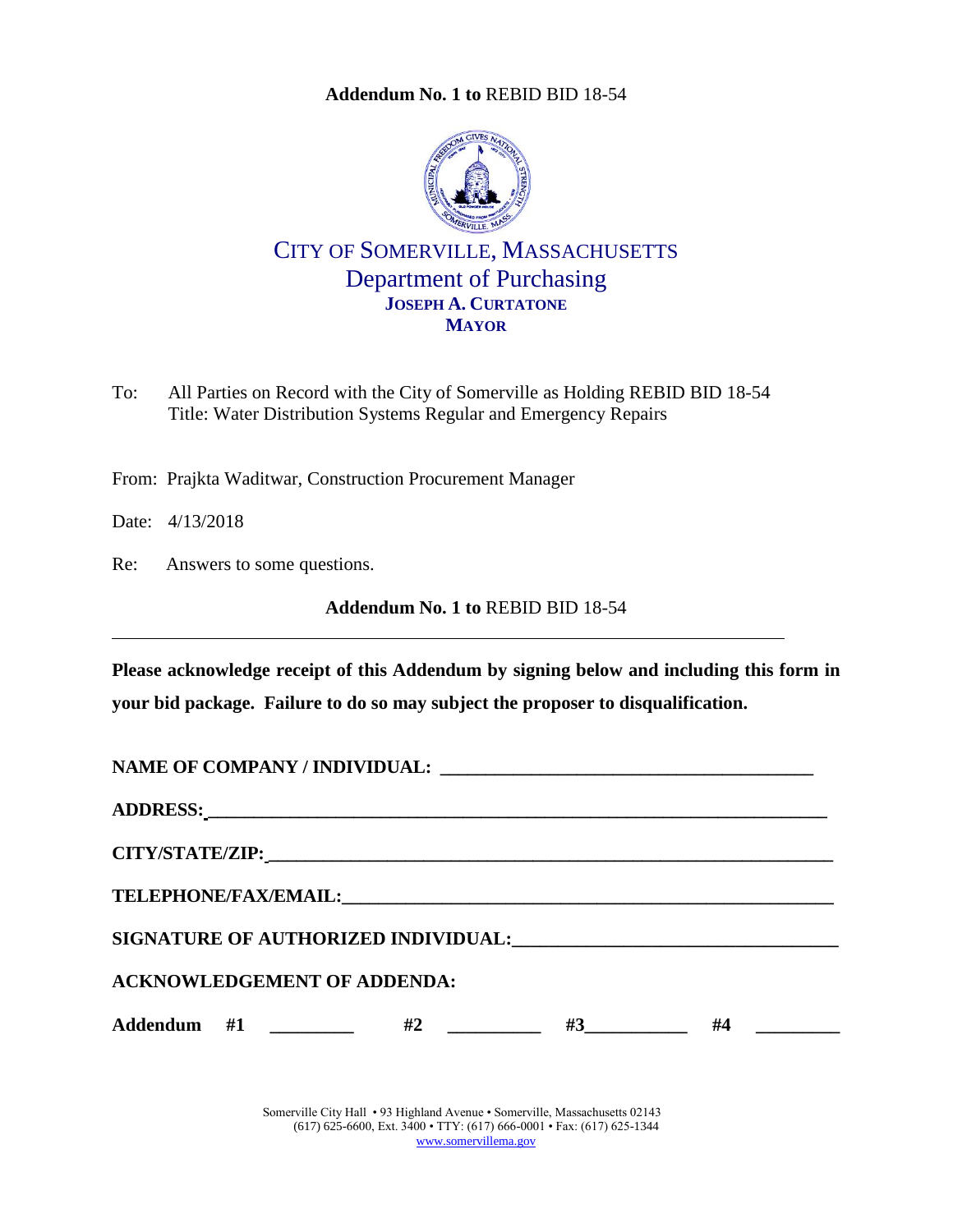**Addendum No. 1 to** [REBID BID 18-54](#page-0-0)

<span id="page-0-0"></span>

CITY OF SOMERVILLE, MASSACHUSETTS Department of Purchasing **JOSEPH A. CURTATONE MAYOR**

To: All Parties on Record with the City of Somerville as Holding REBID BID 18-54 Title: Water Distribution Systems Regular and Emergency Repairs

From: Prajkta Waditwar, Construction Procurement Manager

Date: 4/13/2018

Re: Answers to some questions.

**Addendum No. 1 to** [REBID BID 18-54](#page-0-0)

**Please acknowledge receipt of this Addendum by signing below and including this form in your bid package. Failure to do so may subject the proposer to disqualification.**

| <b>ACKNOWLEDGEMENT OF ADDENDA:</b> |  |           |  |
|------------------------------------|--|-----------|--|
| Addendum #1 _________ #2 _______   |  | $#3$ $#4$ |  |

Somerville City Hall • 93 Highland Avenue • Somerville, Massachusetts 02143 (617) 625-6600, Ext. 3400 • TTY: (617) 666-0001 • Fax: (617) 625-1344 [www.somervillema.gov](http://www.somervillema.gov/)